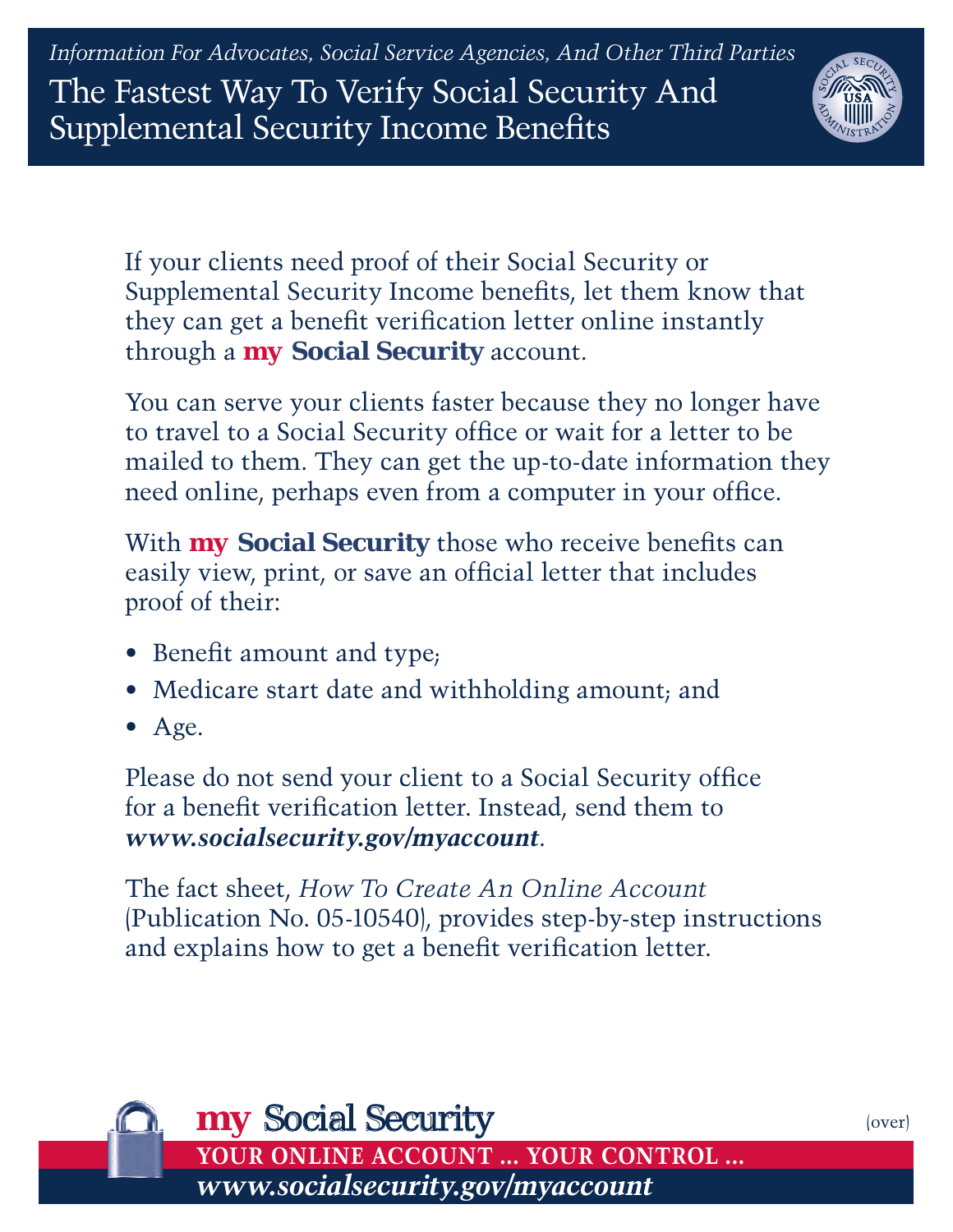*Information For Advocates, Social Service Agencies, And Other Third Parties* The Fastest Way To Verify Social Security And Supplemental Security Income Benefits



If your clients need proof of their Social Security or Supplemental Security Income benefits, let them know that they can get a benefit verification letter online instantly through a *my* **Social Security** account.

You can serve your clients faster because they no longer have to travel to a Social Security office or wait for a letter to be mailed to them. They can get the up-to-date information they need online, perhaps even from a computer in your office.

With *my* **Social Security** those who receive benefits can easily view, print, or save an official letter that includes proof of their:

- Benefit amount and type;
- Medicare start date and withholding amount; and
- Age.

Please do not send your client to a Social Security office for a benefit verification letter. Instead, send them to *[www.socialsecurity.gov/myaccount](http://www.socialsecurity.gov/myaccount)*.

The fact sheet, *[How To Create An Online Account](http://www.ssa.gov/pubs/10540.pdf)* (Publication No. 05-10540), provides step-by-step instructions and explains how to get a benefit verification letter.



(over)